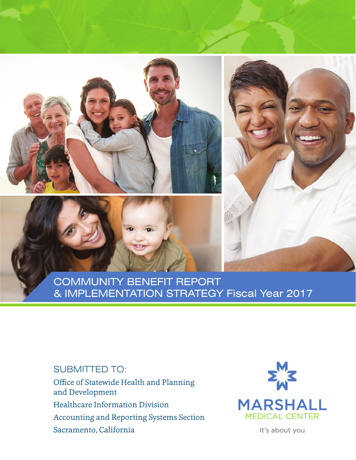# COMMUNITY BENEFIT REPORT & IMPLEMENTATION STRATEGY Fiscal Year 2017

## SUBMITTED TO:

Office of Statewide Health and Planning and Development Healthcare Information Division Accounting and Reporting Systems Section Sacramento, California



It's about you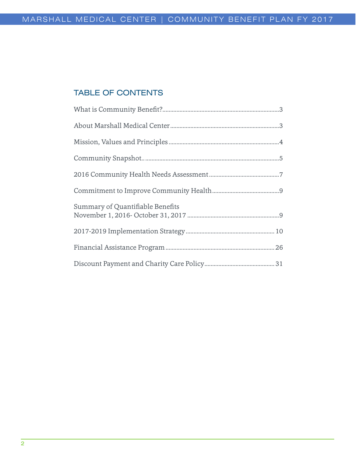## TABLE OF CONTENTS

| Summary of Quantifiable Benefits |
|----------------------------------|
|                                  |
|                                  |
|                                  |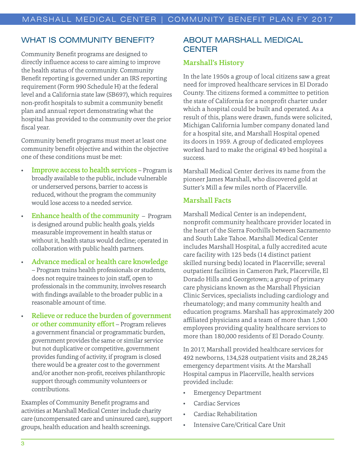## WHAT IS COMMUNITY BENEFIT?

Community Benefit programs are designed to directly influence access to care aiming to improve the health status of the community. Community Benefit reporting is governed under an IRS reporting requirement (Form 990 Schedule H) at the federal level and a California state law (SB697), which requires non-profit hospitals to submit a community benefit plan and annual report demonstrating what the hospital has provided to the community over the prior fiscal year.

Community benefit programs must meet at least one community benefit objective and within the objective one of these conditions must be met:

- **Improve access to health services** Program is broadly available to the public, include vulnerable or underserved persons, barrier to access is reduced, without the program the community would lose access to a needed service.
- Enhance health of the community Program is designed around public health goals, yields measurable improvement in health status or without it, health status would decline; operated in collaboration with public health partners.
- Advance medical or health care knowledge – Program trains health professionals or students, does not require trainees to join staff, open to professionals in the community, involves research with findings available to the broader public in a reasonable amount of time.
- Relieve or reduce the burden of government or other community effort – Program relieves a government financial or programmatic burden, government provides the same or similar service but not duplicative or competitive, government provides funding of activity, if program is closed there would be a greater cost to the government and/or another non-profit, receives philanthropic support through community volunteers or contributions.

Examples of Community Benefit programs and activities at Marshall Medical Center include charity care (uncompensated care and uninsured care), support groups, health education and health screenings.

## ABOUT MARSHALL MEDICAL **CENTER**

#### Marshall's History

In the late 1950s a group of local citizens saw a great need for improved healthcare services in El Dorado County. The citizens formed a committee to petition the state of California for a nonprofit charter under which a hospital could be built and operated. As a result of this, plans were drawn, funds were solicited, Michigan California lumber company donated land for a hospital site, and Marshall Hospital opened its doors in 1959. A group of dedicated employees worked hard to make the original 49 bed hospital a success.

Marshall Medical Center derives its name from the pioneer James Marshall, who discovered gold at Sutter's Mill a few miles north of Placerville.

#### Marshall Facts

Marshall Medical Center is an independent, nonprofit community healthcare provider located in the heart of the Sierra Foothills between Sacramento and South Lake Tahoe. Marshall Medical Center includes Marshall Hospital, a fully accredited acute care facility with 125 beds (14 distinct patient skilled nursing beds) located in Placerville; several outpatient facilities in Cameron Park, Placerville, El Dorado Hills and Georgetown; a group of primary care physicians known as the Marshall Physician Clinic Services, specialists including cardiology and rheumatology; and many community health and education programs. Marshall has approximately 200 affiliated physicians and a team of more than 1,500 employees providing quality healthcare services to more than 180,000 residents of El Dorado County.

In 2017, Marshall provided healthcare services for 492 newborns, 134,528 outpatient visits and 28,245 emergency department visits. At the Marshall Hospital campus in Placerville, health services provided include:

- Emergency Department
- Cardiac Services
- Cardiac Rehabilitation
- Intensive Care/Critical Care Unit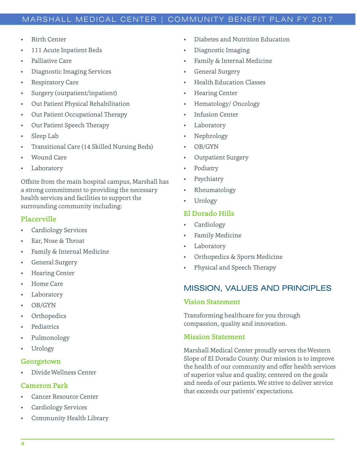- **Birth Center**
- 111 Acute Inpatient Beds
- Palliative Care
- Diagnostic Imaging Services
- Respiratory Care
- Surgery (outpatient/inpatient)
- Out Patient Physical Rehabilitation
- Out Patient Occupational Therapy
- Out Patient Speech Therapy
- Sleep Lab
- Transitional Care (14 Skilled Nursing Beds)
- Wound Care
- **Laboratory**

Offsite from the main hospital campus, Marshall has a strong commitment to providing the necessary health services and facilities to support the surrounding community including:

## Placerville

- Cardiology Services
- Ear, Nose & Throat
- Family & Internal Medicine
- General Surgery
- Hearing Center
- Home Care
- Laboratory
- OB/GYN
- **Orthopedics**
- **Pediatrics**
- Pulmonology
- Urology

#### Georgetown

• Divide Wellness Center

#### Cameron Park

- Cancer Resource Center
- Cardiology Services
- Community Health Library
- Diabetes and Nutrition Education
- Diagnostic Imaging
- Family & Internal Medicine
- General Surgery
- Health Education Classes
- Hearing Center
- Hematology/ Oncology
- **Infusion Center**
- **Laboratory**
- Nephrology
- OB/GYN
- Outpatient Surgery
- Podiatry
- **Psychiatry**
- Rheumatology
- Urology

## El Dorado Hills

- **Cardiology**
- Family Medicine
- **Laboratory**
- Orthopedics & Sports Medicine
- Physical and Speech Therapy

## MISSION, VALUES AND PRINCIPLES

#### Vision Statement

Transforming healthcare for you through compassion, quality and innovation.

## Mission Statement

Marshall Medical Center proudly serves the Western Slope of El Dorado County. Our mission is to improve the health of our community and offer health services of superior value and quality, centered on the goals and needs of our patients. We strive to deliver service that exceeds our patients' expectations.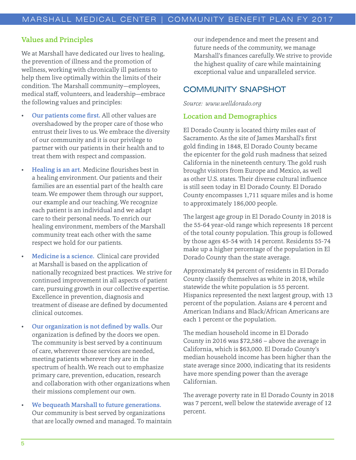## Values and Principles

We at Marshall have dedicated our lives to healing, the prevention of illness and the promotion of wellness, working with chronically ill patients to help them live optimally within the limits of their condition. The Marshall community—employees, medical staff, volunteers, and leadership—embrace the following values and principles:

- Our patients come first. All other values are overshadowed by the proper care of those who entrust their lives to us. We embrace the diversity of our community and it is our privilege to partner with our patients in their health and to treat them with respect and compassion.
- Healing is an art. Medicine flourishes best in a healing environment. Our patients and their families are an essential part of the health care team. We empower them through our support, our example and our teaching. We recognize each patient is an individual and we adapt care to their personal needs. To enrich our healing environment, members of the Marshall community treat each other with the same respect we hold for our patients.
- Medicine is a science. Clinical care provided at Marshall is based on the application of nationally recognized best practices. We strive for continued improvement in all aspects of patient care, pursuing growth in our collective expertise. Excellence in prevention, diagnosis and treatment of disease are defined by documented clinical outcomes.
- Our organization is not defined by walls. Our organization is defined by the doors we open. The community is best served by a continuum of care, wherever those services are needed, meeting patients wherever they are in the spectrum of health. We reach out to emphasize primary care, prevention, education, research and collaboration with other organizations when their missions complement our own.
- We bequeath Marshall to future generations. Our community is best served by organizations that are locally owned and managed. To maintain

our independence and meet the present and future needs of the community, we manage Marshall's finances carefully. We strive to provide the highest quality of care while maintaining exceptional value and unparalleled service.

## COMMUNITY SNAPSHOT

*Source: www.welldorado.org*

#### Location and Demographics

El Dorado County is located thirty miles east of Sacramento. As the site of James Marshall's first gold finding in 1848, El Dorado County became the epicenter for the gold rush madness that seized California in the nineteenth century. The gold rush brought visitors from Europe and Mexico, as well as other U.S. states. Their diverse cultural influence is still seen today in El Dorado County. El Dorado County encompasses 1,711 square miles and is home to approximately 186,000 people.

The largest age group in El Dorado County in 2018 is the 55-64 year-old range which represents 18 percent of the total county population. This group is followed by those ages 45-54 with 14 percent. Residents 55-74 make up a higher percentage of the population in El Dorado County than the state average.

Approximately 84 percent of residents in El Dorado County classify themselves as white in 2018, while statewide the white population is 55 percent. Hispanics represented the next largest group, with 13 percent of the population. Asians are 4 percent and American Indians and Black/African Americans are each 1 percent or the population.

The median household income in El Dorado County in 2016 was \$72,586 – above the average in California, which is \$63,000. El Dorado County's median household income has been higher than the state average since 2000, indicating that its residents have more spending power than the average Californian.

The average poverty rate in El Dorado County in 2018 was 7 percent, well below the statewide average of 12 percent.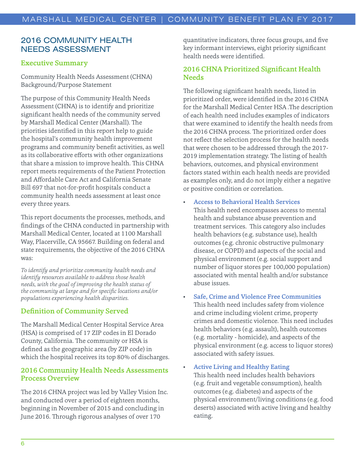## 2016 COMMUNITY HEALTH NEEDS ASSESSMENT

### Executive Summary

Community Health Needs Assessment (CHNA) Background/Purpose Statement

The purpose of this Community Health Needs Assessment (CHNA) is to identify and prioritize significant health needs of the community served by Marshall Medical Center (Marshall). The priorities identified in this report help to guide the hospital's community health improvement programs and community benefit activities, as well as its collaborative efforts with other organizations that share a mission to improve health. This CHNA report meets requirements of the Patient Protection and Affordable Care Act and California Senate Bill 697 that not-for-profit hospitals conduct a community health needs assessment at least once every three years.

This report documents the processes, methods, and findings of the CHNA conducted in partnership with Marshall Medical Center, located at 1100 Marshall Way, Placerville, CA 95667. Building on federal and state requirements, the objective of the 2016 CHNA was:

*To identify and prioritize community health needs and identify resources available to address those health needs, with the goal of improving the health status of the community at large and for specific locations and/or populations experiencing health disparities.*

## Definition of Community Served

The Marshall Medical Center Hospital Service Area (HSA) is comprised of 17 ZIP codes in El Dorado County, California. The community or HSA is defined as the geographic area (by ZIP code) in which the hospital receives its top 80% of discharges.

## 2016 Community Health Needs Assessments Process Overview

The 2016 CHNA project was led by Valley Vision Inc. and conducted over a period of eighteen months, beginning in November of 2015 and concluding in June 2016. Through rigorous analyses of over 170

quantitative indicators, three focus groups, and five key informant interviews, eight priority significant health needs were identified.

## 2016 CHNA Prioritized Significant Health **Needs**

The following significant health needs, listed in prioritized order, were identified in the 2016 CHNA for the Marshall Medical Center HSA .The description of each health need includes examples of indicators that were examined to identify the health needs from the 2016 CHNA process. The prioritized order does not reflect the selection process for the health needs that were chosen to be addressed through the 2017- 2019 implementation strategy. The listing of health behaviors, outcomes, and physical environment factors stated within each health needs are provided as examples only, and do not imply either a negative or positive condition or correlation.

- Access to Behavioral Health Services This health need encompasses access to mental health and substance abuse prevention and treatment services. This category also includes health behaviors (e.g. substance use), health outcomes (e.g. chronic obstructive pulmonary disease, or COPD) and aspects of the social and physical environment (e.g. social support and number of liquor stores per 100,000 population) associated with mental health and/or substance abuse issues.
- Safe, Crime and Violence Free Communities This health need includes safety from violence and crime including violent crime, property crimes and domestic violence. This need includes health behaviors (e.g. assault), health outcomes (e.g. mortality - homicide), and aspects of the physical environment (e.g. access to liquor stores) associated with safety issues.

#### • Active Living and Healthy Eating

This health need includes health behaviors (e.g. fruit and vegetable consumption), health outcomes (e.g. diabetes) and aspects of the physical environment/living conditions (e.g. food deserts) associated with active living and healthy eating.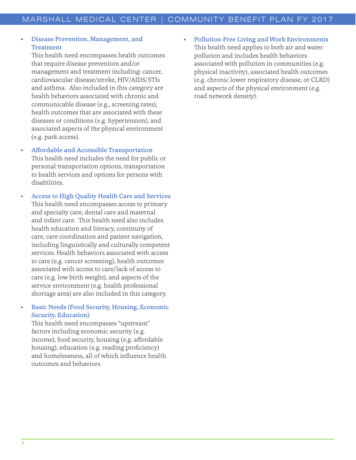## • Disease Prevention, Management, and **Treatment**

This health need encompasses health outcomes that require disease prevention and/or management and treatment including: cancer, cardiovascular disease/stroke, HIV/AIDS/STIs and asthma. Also included in this category are health behaviors associated with chronic and communicable disease (e.g., screening rates), health outcomes that are associated with these diseases or conditions (e.g. hypertension), and associated aspects of the physical environment (e.g. park access).

#### • Affordable and Accessible Transportation

This health need includes the need for public or personal transportation options, transportation to health services and options for persons with disabilities.

• Access to High Quality Health Care and Services This health need encompasses access to primary and specialty care, dental care and maternal and infant care. This health need also includes health education and literacy, continuity of care, care coordination and patient navigation, including linguistically and culturally competent services. Health behaviors associated with access to care (e.g. cancer screening), health outcomes associated with access to care/lack of access to care (e.g. low birth weight), and aspects of the service environment (e.g. health professional shortage area) are also included in this category.

#### • Basic Needs (Food Security, Housing, Economic Security, Education)

This health need encompasses "upstream" factors including economic security (e.g. income), food security, housing (e.g. affordable housing), education (e.g. reading proficiency) and homelessness, all of which influence health outcomes and behaviors.

• Pollution-Free Living and Work Environments This health need applies to both air and water pollution and includes health behaviors associated with pollution in communities (e.g. physical inactivity), associated health outcomes (e.g. chronic lower respiratory disease, or CLRD) and aspects of the physical environment (e.g. road network density).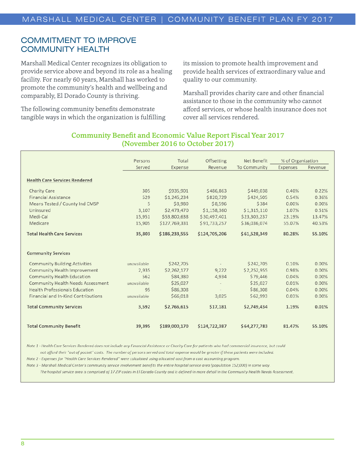## COMMITMENT TO IMPROVE COMMUNITY HEALTH

Marshall Medical Center recognizes its obligation to provide service above and beyond its role as a healing facility. For nearly 60 years, Marshall has worked to promote the community's health and wellbeing and comparably, El Dorado County is thriving.

The following community benefits demonstrate tangible ways in which the organization is fulfilling its mission to promote health improvement and provide health services of extraordinary value and quality to our community.

Marshall provides charity care and other financial assistance to those in the community who cannot afford services, or whose health insurance does not cover all services rendered.

|                                       | Persons     | Total         | Offsetting    | Net Benefit  | % of Organization |         |
|---------------------------------------|-------------|---------------|---------------|--------------|-------------------|---------|
|                                       | Served      | Expense       | Revenue       | To Community | Expenses          | Revenue |
| <b>Health Care Services Rendered</b>  |             |               |               |              |                   |         |
| Charity Care                          | 305         | \$935,901     | \$486,863     | \$449,038    | 0.40%             | 0.22%   |
| Financial Assistance                  | 529         | \$1,245,234   | \$820,729     | \$424,505    | 0.54%             | 0.36%   |
| Means Tested / County Ind CMSP        | 5           | \$8,980       | \$8,596       | \$384        | 0.00%             | 0.00%   |
| Uninsured                             | 3,107       | \$2,473,470   | \$1,158,360   | \$1,315,110  | 1.07%             | 0.51%   |
| Medi-Cal                              | 15,951      | \$53,800,638  | \$30,497,401  | \$23,303,237 | 23.19%            | 13.47%  |
| Medicare                              | 15,905      | \$127,769,331 | \$91,733,257  | \$36,036,074 | 55.07%            | 40.53%  |
| <b>Total Health Care Services</b>     | 35,803      | \$186,233,555 | \$124,705,206 | \$61,528,349 | 80.28%            | 55.10%  |
| <b>Community Services</b>             |             |               |               |              |                   |         |
| <b>Community Building Activities</b>  | unavailable | \$242,705     |               | \$242,705    | 0.10%             | 0.00%   |
| Community Health Improvement          | 2,935       | \$2,262,177   | 9,222         | \$2,252,955  | 0.98%             | 0.00%   |
| Community Health Education            | 562         | \$84,380      | 4,934         | \$79,446     | 0.04%             | 0.00%   |
| Community Health Needs Assessment     | unavailable | \$25,027      |               | \$25,027     | 0.01%             | 0.00%   |
| <b>Health Professionals Education</b> | 95          | \$86,308      |               | \$86,308     | 0.04%             | 0.00%   |
| Financial and In-Kind Contributions   | unavailable | \$66,018      | 3,025         | \$62,993     | 0.03%             | 0.00%   |
| <b>Total Community Services</b>       | 3,592       | \$2,766,615   | \$17,181      | \$2,749,434  | 1.19%             | 0.01%   |
| <b>Total Community Benefit</b>        | 39,395      | \$189,000,170 | \$124,722,387 | \$64,277,783 | 81.47%            | 55.10%  |

## Community Benefit and Economic Value Report Fiscal Year 2017 (November 2016 to October 2017)

Note 1 - Health Care Services Rendered does not include any Financial Assistance or Charity Care for patients who had commercial insurance, but could not afford their "out of pocket" costs. The number of persons served and total expense would be greater if these patients were included.

Note 2 - Expenses for "Health Care Services Rendered" were calculated using allocated cost from a cost accounting program.

Note 3 - Marshall Medical Center's community service involvement benefits the entire hospital service area (population 152,000) in some way.

The hospital service area is comprised of 17 ZIP codes in El Dorado County and is defined in more detail in the Community Health Needs Assessment.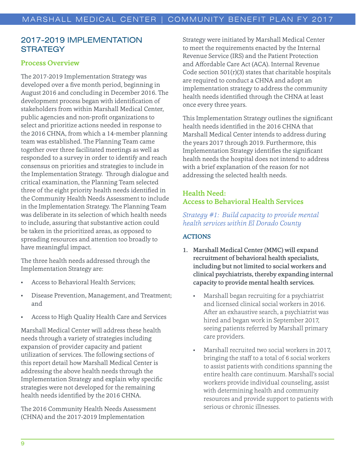## 2017-2019 IMPLEMENTATION **STRATEGY**

## Process Overview

The 2017-2019 Implementation Strategy was developed over a five month period, beginning in August 2016 and concluding in December 2016. The development process began with identification of stakeholders from within Marshall Medical Center, public agencies and non-profit organizations to select and prioritize actions needed in response to the 2016 CHNA, from which a 14-member planning team was established. The Planning Team came together over three facilitated meetings as well as responded to a survey in order to identify and reach consensus on priorities and strategies to include in the Implementation Strategy. Through dialogue and critical examination, the Planning Team selected three of the eight priority health needs identified in the Community Health Needs Assessment to include in the Implementation Strategy. The Planning Team was deliberate in its selection of which health needs to include, assuring that substantive action could be taken in the prioritized areas, as opposed to spreading resources and attention too broadly to have meaningful impact.

The three health needs addressed through the Implementation Strategy are:

- Access to Behavioral Health Services;
- Disease Prevention, Management, and Treatment; and
- Access to High Quality Health Care and Services

Marshall Medical Center will address these health needs through a variety of strategies including expansion of provider capacity and patient utilization of services. The following sections of this report detail how Marshall Medical Center is addressing the above health needs through the Implementation Strategy and explain why specific strategies were not developed for the remaining health needs identified by the 2016 CHNA.

The 2016 Community Health Needs Assessment (CHNA) and the 2017-2019 Implementation

Strategy were initiated by Marshall Medical Center to meet the requirements enacted by the Internal Revenue Service (IRS) and the Patient Protection and Affordable Care Act (ACA). Internal Revenue Code section  $501(r)(3)$  states that charitable hospitals are required to conduct a CHNA and adopt an implementation strategy to address the community health needs identified through the CHNA at least once every three years.

This Implementation Strategy outlines the significant health needs identified in the 2016 CHNA that Marshall Medical Center intends to address during the years 2017 through 2019. Furthermore, this Implementation Strategy identifies the significant health needs the hospital does not intend to address with a brief explanation of the reason for not addressing the selected health needs.

## Health Need: Access to Behavioral Health Services

*Strategy #1: Build capacity to provide mental health services within El Dorado County*

## ACTIONS

- 1. Marshall Medical Center (MMC) will expand recruitment of behavioral health specialists, including but not limited to social workers and clinical psychiatrists, thereby expanding internal capacity to provide mental health services.
	- Marshall began recruiting for a psychiatrist and licensed clinical social workers in 2016. After an exhaustive search, a psychiatrist was hired and began work in September 2017, seeing patients referred by Marshall primary care providers.
	- Marshall recruited two social workers in 2017, bringing the staff to a total of 6 social workers to assist patients with conditions spanning the entire health care continuum. Marshall's social workers provide individual counseling, assist with determining health and community resources and provide support to patients with serious or chronic illnesses.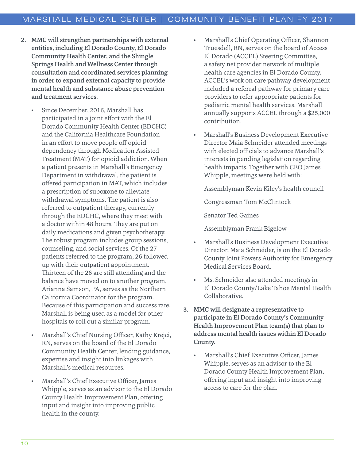- 2. MMC will strengthen partnerships with external entities, including El Dorado County, El Dorado Community Health Center, and the Shingle Springs Health and Wellness Center through consultation and coordinated services planning in order to expand external capacity to provide mental health and substance abuse prevention and treatment services.
	- Since December, 2016, Marshall has participated in a joint effort with the El Dorado Community Health Center (EDCHC) and the California Healthcare Foundation in an effort to move people off opioid dependency through Medication Assisted Treatment (MAT) for opioid addiction. When a patient presents in Marshall's Emergency Department in withdrawal, the patient is offered participation in MAT, which includes a prescription of suboxone to alleviate withdrawal symptoms. The patient is also referred to outpatient therapy, currently through the EDCHC, where they meet with a doctor within 48 hours. They are put on daily medications and given psychotherapy. The robust program includes group sessions, counseling, and social services. Of the 27 patients referred to the program, 26 followed up with their outpatient appointment. Thirteen of the 26 are still attending and the balance have moved on to another program. Arianna Samson, PA, serves as the Northern California Coordinator for the program. Because of this participation and success rate, Marshall is being used as a model for other hospitals to roll out a similar program.
	- Marshall's Chief Nursing Officer, Kathy Krejci, RN, serves on the board of the El Dorado Community Health Center, lending guidance, expertise and insight into linkages with Marshall's medical resources.
	- Marshall's Chief Executive Officer, James Whipple, serves as an advisor to the El Dorado County Health Improvement Plan, offering input and insight into improving public health in the county.
- Marshall's Chief Operating Officer, Shannon Truesdell, RN, serves on the board of Access El Dorado (ACCEL) Steering Committee, a safety net provider network of multiple health care agencies in El Dorado County. ACCEL's work on care pathway development included a referral pathway for primary care providers to refer appropriate patients for pediatric mental health services. Marshall annually supports ACCEL through a \$25,000 contribution.
- Marshall's Business Development Executive Director Maia Schneider attended meetings with elected officials to advance Marshall's interests in pending legislation regarding health impacts. Together with CEO James Whipple, meetings were held with:

Assemblyman Kevin Kiley's health council

Congressman Tom McClintock

Senator Ted Gaines

Assemblyman Frank Bigelow

- Marshall's Business Development Executive Director, Maia Schneider, is on the El Dorado County Joint Powers Authority for Emergency Medical Services Board.
- Ms. Schneider also attended meetings in El Dorado County/Lake Tahoe Mental Health Collaborative.
- 3. MMC will designate a representative to participate in El Dorado County's Community Health Improvement Plan team(s) that plan to address mental health issues within El Dorado County.
	- Marshall's Chief Executive Officer, James Whipple, serves as an advisor to the El Dorado County Health Improvement Plan, offering input and insight into improving access to care for the plan.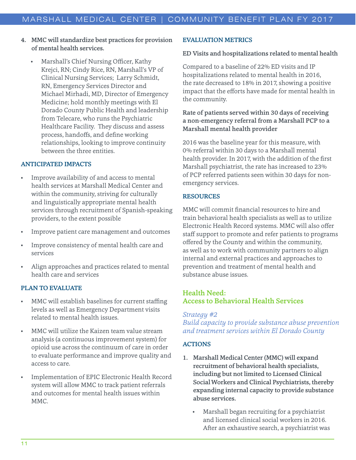- 4. MMC will standardize best practices for provision of mental health services.
	- Marshall's Chief Nursing Officer, Kathy Krejci, RN; Cindy Rice, RN, Marshall's VP of Clinical Nursing Services; Larry Schmidt, RN, Emergency Services Director and Michael Mirhadi, MD, Director of Emergency Medicine; hold monthly meetings with El Dorado County Public Health and leadership from Telecare, who runs the Psychiatric Healthcare Facility. They discuss and assess process, handoffs, and define working relationships, looking to improve continuity between the three entities.

#### ANTICIPATED IMPACTS

- Improve availability of and access to mental health services at Marshall Medical Center and within the community, striving for culturally and linguistically appropriate mental health services through recruitment of Spanish-speaking providers, to the extent possible
- Improve patient care management and outcomes
- Improve consistency of mental health care and services
- Align approaches and practices related to mental health care and services

## PLAN TO EVALUATE

- MMC will establish baselines for current staffing levels as well as Emergency Department visits related to mental health issues.
- MMC will utilize the Kaizen team value stream analysis (a continuous improvement system) for opioid use across the continuum of care in order to evaluate performance and improve quality and access to care.
- Implementation of EPIC Electronic Health Record system will allow MMC to track patient referrals and outcomes for mental health issues within MMC.

#### EVALUATION METRICS

#### ED Visits and hospitalizations related to mental health

Compared to a baseline of 22% ED visits and IP hospitalizations related to mental health in 2016, the rate decreased to 18% in 2017, showing a positive impact that the efforts have made for mental health in the community.

### Rate of patients served within 30 days of receiving a non-emergency referral from a Marshall PCP to a Marshall mental health provider

2016 was the baseline year for this measure, with 0% referral within 30 days to a Marshall mental health provider. In 2017, with the addition of the first Marshall psychiatrist, the rate has increased to 23% of PCP referred patients seen within 30 days for nonemergency services.

#### RESOURCES

MMC will commit financial resources to hire and train behavioral health specialists as well as to utilize Electronic Health Record systems. MMC will also offer staff support to promote and refer patients to programs offered by the County and within the community, as well as to work with community partners to align internal and external practices and approaches to prevention and treatment of mental health and substance abuse issues.

## Health Need: Access to Behavioral Health Services

#### *Strategy #2*

*Build capacity to provide substance abuse prevention and treatment services within El Dorado County*

#### ACTIONS

- 1. Marshall Medical Center (MMC) will expand recruitment of behavioral health specialists, including but not limited to Licensed Clinical Social Workers and Clinical Psychiatrists, thereby expanding internal capacity to provide substance abuse services.
	- Marshall began recruiting for a psychiatrist and licensed clinical social workers in 2016. After an exhaustive search, a psychiatrist was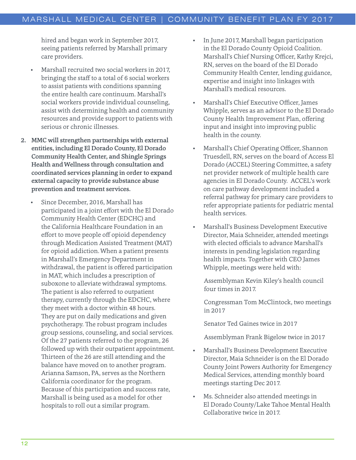hired and began work in September 2017, seeing patients referred by Marshall primary care providers.

- Marshall recruited two social workers in 2017, bringing the staff to a total of 6 social workers to assist patients with conditions spanning the entire health care continuum. Marshall's social workers provide individual counseling, assist with determining health and community resources and provide support to patients with serious or chronic illnesses.
- 2. MMC will strengthen partnerships with external entities, including El Dorado County, El Dorado Community Health Center, and Shingle Springs Health and Wellness through consultation and coordinated services planning in order to expand external capacity to provide substance abuse prevention and treatment services.
	- Since December, 2016, Marshall has participated in a joint effort with the El Dorado Community Health Center (EDCHC) and the California Healthcare Foundation in an effort to move people off opioid dependency through Medication Assisted Treatment (MAT) for opioid addiction. When a patient presents in Marshall's Emergency Department in withdrawal, the patient is offered participation in MAT, which includes a prescription of suboxone to alleviate withdrawal symptoms. The patient is also referred to outpatient therapy, currently through the EDCHC, where they meet with a doctor within 48 hours. They are put on daily medications and given psychotherapy. The robust program includes group sessions, counseling, and social services. Of the 27 patients referred to the program, 26 followed up with their outpatient appointment. Thirteen of the 26 are still attending and the balance have moved on to another program. Arianna Samson, PA, serves as the Northern California coordinator for the program. Because of this participation and success rate, Marshall is being used as a model for other hospitals to roll out a similar program.
- In June 2017, Marshall began participation in the El Dorado County Opioid Coalition. Marshall's Chief Nursing Officer, Kathy Krejci, RN, serves on the board of the El Dorado Community Health Center, lending guidance, expertise and insight into linkages with Marshall's medical resources.
- Marshall's Chief Executive Officer, James Whipple, serves as an advisor to the El Dorado County Health Improvement Plan, offering input and insight into improving public health in the county.
- Marshall's Chief Operating Officer, Shannon Truesdell, RN, serves on the board of Access El Dorado (ACCEL) Steering Committee, a safety net provider network of multiple health care agencies in El Dorado County. ACCEL's work on care pathway development included a referral pathway for primary care providers to refer appropriate patients for pediatric mental health services.
- Marshall's Business Development Executive Director, Maia Schneider, attended meetings with elected officials to advance Marshall's interests in pending legislation regarding health impacts. Together with CEO James Whipple, meetings were held with:

Assemblyman Kevin Kiley's health council four times in 2017.

Congressman Tom McClintock, two meetings in 2017

Senator Ted Gaines twice in 2017

Assemblyman Frank Bigelow twice in 2017

- Marshall's Business Development Executive Director, Maia Schneider is on the El Dorado County Joint Powers Authority for Emergency Medical Services, attending monthly board meetings starting Dec 2017.
- Ms. Schneider also attended meetings in El Dorado County/Lake Tahoe Mental Health Collaborative twice in 2017.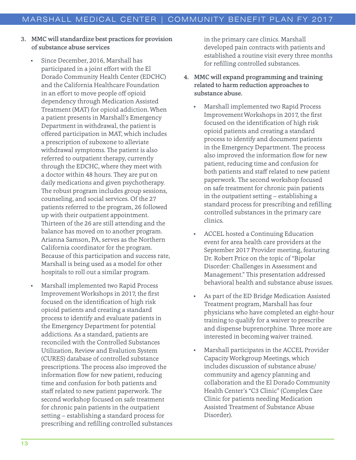- 3. MMC will standardize best practices for provision of substance abuse services
	- Since December, 2016, Marshall has participated in a joint effort with the El Dorado Community Health Center (EDCHC) and the California Healthcare Foundation in an effort to move people off opioid dependency through Medication Assisted Treatment (MAT) for opioid addiction. When a patient presents in Marshall's Emergency Department in withdrawal, the patient is offered participation in MAT, which includes a prescription of suboxone to alleviate withdrawal symptoms. The patient is also referred to outpatient therapy, currently through the EDCHC, where they meet with a doctor within 48 hours. They are put on daily medications and given psychotherapy. The robust program includes group sessions, counseling, and social services. Of the 27 patients referred to the program, 26 followed up with their outpatient appointment. Thirteen of the 26 are still attending and the balance has moved on to another program. Arianna Samson, PA, serves as the Northern California coordinator for the program. Because of this participation and success rate, Marshall is being used as a model for other hospitals to roll out a similar program.
	- Marshall implemented two Rapid Process Improvement Workshops in 2017, the first focused on the identification of high risk opioid patients and creating a standard process to identify and evaluate patients in the Emergency Department for potential addictions. As a standard, patients are reconciled with the Controlled Substances Utilization, Review and Evalution System (CURES) database of controlled substance prescriptions. The process also improved the information flow for new patient, reducing time and confusion for both patients and staff related to new patient paperwork. The second workshop focused on safe treatment for chronic pain patients in the outpatient setting – establishing a standard process for prescribing and refilling controlled substances

in the primary care clinics. Marshall developed pain contracts with patients and established a routine visit every three months for refilling controlled substances.

- 4. MMC will expand programming and training related to harm reduction approaches to substance abuse.
	- Marshall implemented two Rapid Process Improvement Workshops in 2017, the first focused on the identification of high risk opioid patients and creating a standard process to identify and document patients in the Emergency Department. The process also improved the information flow for new patient, reducing time and confusion for both patients and staff related to new patient paperwork. The second workshop focused on safe treatment for chronic pain patients in the outpatient setting – establishing a standard process for prescribing and refilling controlled substances in the primary care clinics.
	- ACCEL hosted a Continuing Education event for area health care providers at the September 2017 Provider meeting, featuring Dr. Robert Price on the topic of "Bipolar Disorder: Challenges in Assessment and Management." This presentation addressed behavioral health and substance abuse issues.
	- As part of the ED Bridge Medication Assisted Treatment program, Marshall has four physicians who have completed an eight-hour training to qualify for a waiver to prescribe and dispense buprenorphine. Three more are interested in becoming waiver trained.
	- Marshall participates in the ACCEL Provider Capacity Workgroup Meetings, which includes discussion of substance abuse/ community and agency planning and collaboration and the El Dorado Community Health Center's "C3 Clinic" (Complex Care Clinic for patients needing Medication Assisted Treatment of Substance Abuse Disorder).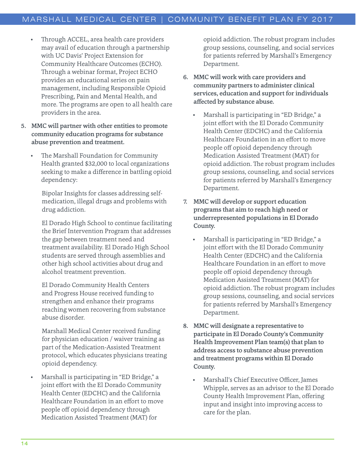- Through ACCEL, area health care providers may avail of education through a partnership with UC Davis' Project Extension for Community Healthcare Outcomes (ECHO). Through a webinar format, Project ECHO provides an educational series on pain management, including Responsible Opioid Prescribing, Pain and Mental Health, and more. The programs are open to all health care providers in the area.
- 5. MMC will partner with other entities to promote community education programs for substance abuse prevention and treatment.
	- The Marshall Foundation for Community Health granted \$32,000 to local organizations seeking to make a difference in battling opioid dependency:

Bipolar Insights for classes addressing selfmedication, illegal drugs and problems with drug addiction.

El Dorado High School to continue facilitating the Brief Intervention Program that addresses the gap between treatment need and treatment availability. El Dorado High School students are served through assemblies and other high school activities about drug and alcohol treatment prevention.

El Dorado Community Health Centers and Progress House received funding to strengthen and enhance their programs reaching women recovering from substance abuse disorder.

Marshall Medical Center received funding for physician education / waiver training as part of the Medication-Assisted Treatment protocol, which educates physicians treating opioid dependency.

• Marshall is participating in "ED Bridge," a joint effort with the El Dorado Community Health Center (EDCHC) and the California Healthcare Foundation in an effort to move people off opioid dependency through Medication Assisted Treatment (MAT) for

opioid addiction. The robust program includes group sessions, counseling, and social services for patients referred by Marshall's Emergency Department.

- 6. MMC will work with care providers and community partners to administer clinical services, education and support for individuals affected by substance abuse.
	- Marshall is participating in "ED Bridge," a joint effort with the El Dorado Community Health Center (EDCHC) and the California Healthcare Foundation in an effort to move people off opioid dependency through Medication Assisted Treatment (MAT) for opioid addiction. The robust program includes group sessions, counseling, and social services for patients referred by Marshall's Emergency Department.
- 7. MMC will develop or support education programs that aim to reach high need or underrepresented populations in El Dorado County.
	- Marshall is participating in "ED Bridge," a joint effort with the El Dorado Community Health Center (EDCHC) and the California Healthcare Foundation in an effort to move people off opioid dependency through Medication Assisted Treatment (MAT) for opioid addiction. The robust program includes group sessions, counseling, and social services for patients referred by Marshall's Emergency Department.
- 8. MMC will designate a representative to participate in El Dorado County's Community Health Improvement Plan team(s) that plan to address access to substance abuse prevention and treatment programs within El Dorado County.
	- Marshall's Chief Executive Officer, James Whipple, serves as an advisor to the El Dorado County Health Improvement Plan, offering input and insight into improving access to care for the plan.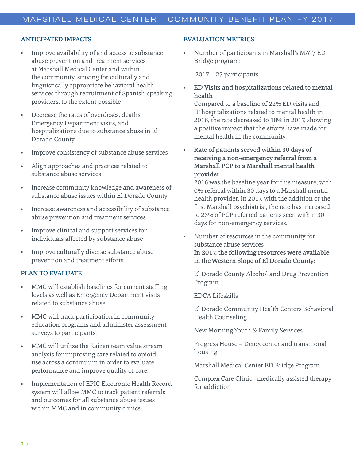#### ANTICIPATED IMPACTS

- Improve availability of and access to substance abuse prevention and treatment services at Marshall Medical Center and within the community, striving for culturally and linguistically appropriate behavioral health services through recruitment of Spanish-speaking providers, to the extent possible
- Decrease the rates of overdoses, deaths, Emergency Department visits, and hospitalizations due to substance abuse in El Dorado County
- Improve consistency of substance abuse services
- Align approaches and practices related to substance abuse services
- Increase community knowledge and awareness of substance abuse issues within El Dorado County
- Increase awareness and accessibility of substance abuse prevention and treatment services
- Improve clinical and support services for individuals affected by substance abuse
- Improve culturally diverse substance abuse prevention and treatment efforts

#### PLAN TO EVALUATE

- MMC will establish baselines for current staffing levels as well as Emergency Department visits related to substance abuse.
- MMC will track participation in community education programs and administer assessment surveys to participants.
- MMC will utilize the Kaizen team value stream analysis for improving care related to opioid use across a continuum in order to evaluate performance and improve quality of care.
- Implementation of EPIC Electronic Health Record system will allow MMC to track patient referrals and outcomes for all substance abuse issues within MMC and in community clinics.

#### EVALUATION METRICS

• Number of participants in Marshall's MAT/ ED Bridge program:

2017 – 27 participants

• ED Visits and hospitalizations related to mental health

Compared to a baseline of 22% ED visits and IP hospitalizations related to mental health in 2016, the rate decreased to 18% in 2017, showing a positive impact that the efforts have made for mental health in the community.

Rate of patients served within 30 days of receiving a non-emergency referral from a Marshall PCP to a Marshall mental health provider

2016 was the baseline year for this measure, with 0% referral within 30 days to a Marshall mental health provider. In 2017, with the addition of the first Marshall psychiatrist, the rate has increased to 23% of PCP referred patients seen within 30 days for non-emergency services.

• Number of resources in the community for substance abuse services In 2017, the following resources were available in the Western Slope of El Dorado County:

El Dorado County Alcohol and Drug Prevention Program

EDCA Lifeskills

El Dorado Community Health Centers Behavioral Health Counseling

New Morning Youth & Family Services

Progress House – Detox center and transitional housing

Marshall Medical Center ED Bridge Program

Complex Care Clinic - medically assisted therapy for addiction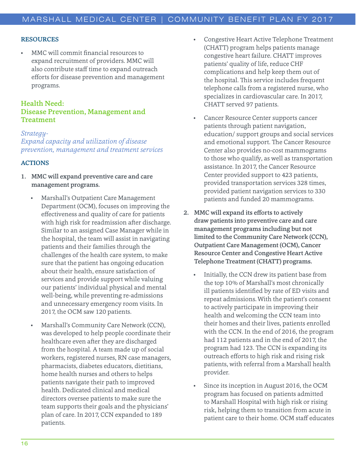#### RESOURCES

• MMC will commit financial resources to expand recruitment of providers. MMC will also contribute staff time to expand outreach efforts for disease prevention and management programs.

## Health Need: Disease Prevention, Management and Treatment

*Strategy-Expand capacity and utilization of disease prevention, management and treatment services*

#### ACTIONS

- 1. MMC will expand preventive care and care management programs.
	- Marshall's Outpatient Care Management Department (OCM), focuses on improving the effectiveness and quality of care for patients with high risk for readmission after discharge. Similar to an assigned Case Manager while in the hospital, the team will assist in navigating patients and their families through the challenges of the health care system, to make sure that the patient has ongoing education about their health, ensure satisfaction of services and provide support while valuing our patients' individual physical and mental well-being, while preventing re-admissions and unnecessary emergency room visits. In 2017, the OCM saw 120 patients.
	- Marshall's Community Care Network (CCN), was developed to help people coordinate their healthcare even after they are discharged from the hospital. A team made up of social workers, registered nurses, RN case managers, pharmacists, diabetes educators, dietitians, home health nurses and others to helps patients navigate their path to improved health. Dedicated clinical and medical directors oversee patients to make sure the team supports their goals and the physicians' plan of care. In 2017, CCN expanded to 189 patients.
- Congestive Heart Active Telephone Treatment (CHATT) program helps patients manage congestive heart failure. CHATT improves patients' quality of life, reduce CHF complications and help keep them out of the hospital. This service includes frequent telephone calls from a registered nurse, who specializes in cardiovascular care. In 2017, CHATT served 97 patients.
- Cancer Resource Center supports cancer patients through patient navigation, education/ support groups and social services and emotional support. The Cancer Resource Center also provides no-cost mammograms to those who qualify, as well as transportation assistance. In 2017, the Cancer Resource Center provided support to 423 patients, provided transportation services 328 times, provided patient navigation services to 330 patients and funded 20 mammograms.
- 2. MMC will expand its efforts to actively draw patients into preventive care and care management programs including but not limited to the Community Care Network (CCN), Outpatient Care Management (OCM), Cancer Resource Center and Congestive Heart Active Telephone Treatment (CHATT) programs.
	- Initially, the CCN drew its patient base from the top 10% of Marshall's most chronically ill patients identified by rate of ED visits and repeat admissions. With the patient's consent to actively participate in improving their health and welcoming the CCN team into their homes and their lives, patients enrolled with the CCN. In the end of 2016, the program had 112 patients and in the end of 2017, the program had 123. The CCN is expanding its outreach efforts to high risk and rising risk patients, with referral from a Marshall health provider.
	- Since its inception in August 2016, the OCM program has focused on patients admitted to Marshall Hospital with high risk or rising risk, helping them to transition from acute in patient care to their home. OCM staff educates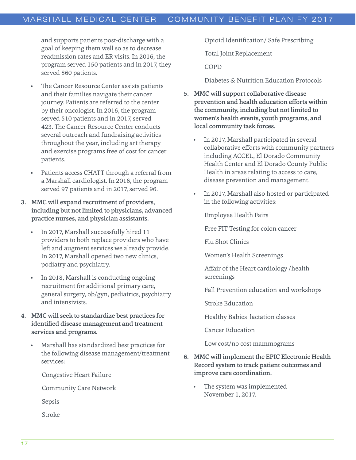and supports patients post-discharge with a goal of keeping them well so as to decrease readmission rates and ER visits. In 2016, the program served 150 patients and in 2017, they served 860 patients.

- The Cancer Resource Center assists patients and their families navigate their cancer journey. Patients are referred to the center by their oncologist. In 2016, the program served 510 patients and in 2017, served 423. The Cancer Resource Center conducts several outreach and fundraising activities throughout the year, including art therapy and exercise programs free of cost for cancer patients.
- Patients access CHATT through a referral from a Marshall cardiologist. In 2016, the program served 97 patients and in 2017, served 96.
- 3. MMC will expand recruitment of providers, including but not limited to physicians, advanced practice nurses, and physician assistants.
	- In 2017, Marshall successfully hired 11 providers to both replace providers who have left and augment services we already provide. In 2017, Marshall opened two new clinics, podiatry and psychiatry.
	- In 2018, Marshall is conducting ongoing recruitment for additional primary care, general surgery, ob/gyn, pediatrics, psychiatry and intensivists.
- 4. MMC will seek to standardize best practices for identified disease management and treatment services and programs.
	- Marshall has standardized best practices for the following disease management/treatment services:

Congestive Heart Failure

Community Care Network

Sepsis

Stroke

Opioid Identification/ Safe Prescribing

Total Joint Replacement

COPD

Diabetes & Nutrition Education Protocols

- 5. MMC will support collaborative disease prevention and health education efforts within the community, including but not limited to women's health events, youth programs, and local community task forces.
	- In 2017, Marshall participated in several collaborative efforts with community partners including ACCEL, El Dorado Community Health Center and El Dorado County Public Health in areas relating to access to care, disease prevention and management.
	- In 2017, Marshall also hosted or participated in the following activities:

Employee Health Fairs

Free FIT Testing for colon cancer

Flu Shot Clinics

Women's Health Screenings

Affair of the Heart cardiology /health screenings

Fall Prevention education and workshops

Stroke Education

Healthy Babies lactation classes

Cancer Education

Low cost/no cost mammograms

- 6. MMC will implement the EPIC Electronic Health Record system to track patient outcomes and improve care coordination.
	- The system was implemented November 1, 2017.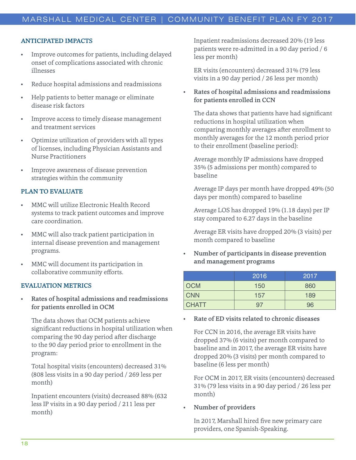#### ANTICIPATED IMPACTS

- Improve outcomes for patients, including delayed onset of complications associated with chronic illnesses
- Reduce hospital admissions and readmissions
- Help patients to better manage or eliminate disease risk factors
- Improve access to timely disease management and treatment services
- Optimize utilization of providers with all types of licenses, including Physician Assistants and Nurse Practitioners
- Improve awareness of disease prevention strategies within the community

#### PLAN TO EVALUATE

- MMC will utilize Electronic Health Record systems to track patient outcomes and improve care coordination.
- MMC will also track patient participation in internal disease prevention and management programs.
- MMC will document its participation in collaborative community efforts.

#### EVALUATION METRICS

• Rates of hospital admissions and readmissions for patients enrolled in OCM

The data shows that OCM patients achieve significant reductions in hospital utilization when comparing the 90 day period after discharge to the 90 day period prior to enrollment in the program:

Total hospital visits (encounters) decreased 31% (808 less visits in a 90 day period / 269 less per month)

Inpatient encounters (visits) decreased 88% (632 less IP visits in a 90 day period / 211 less per month)

Inpatient readmissions decreased 20% (19 less patients were re-admitted in a 90 day period / 6 less per month)

ER visits (encounters) decreased 31% (79 less visits in a 90 day period / 26 less per month)

#### • Rates of hospital admissions and readmissions for patients enrolled in CCN

The data shows that patients have had significant reductions in hospital utilization when comparing monthly averages after enrollment to monthly averages for the 12 month period prior to their enrollment (baseline period):

Average monthly IP admissions have dropped 35% (5 admissions per month) compared to baseline

Average IP days per month have dropped 49% (50 days per month) compared to baseline

Average LOS has dropped 19% (1.18 days) per IP stay compared to 6.27 days in the baseline

Average ER visits have dropped 20% (3 visits) per month compared to baseline

• Number of participants in disease prevention and management programs

|              | 2016 | 2017 |
|--------------|------|------|
| <b>OCM</b>   | 150  | 860  |
| <b>CNN</b>   | 157  | 189  |
| <b>CHATT</b> | 97   | 96   |

#### • Rate of ED visits related to chronic diseases

For CCN in 2016, the average ER visits have dropped 37% (6 visits) per month compared to baseline and in 2017, the average ER visits have dropped 20% (3 visits) per month compared to baseline (6 less per month)

For OCM in 2017, ER visits (encounters) decreased 31% (79 less visits in a 90 day period / 26 less per month)

#### • Number of providers

In 2017, Marshall hired five new primary care providers, one Spanish-Speaking.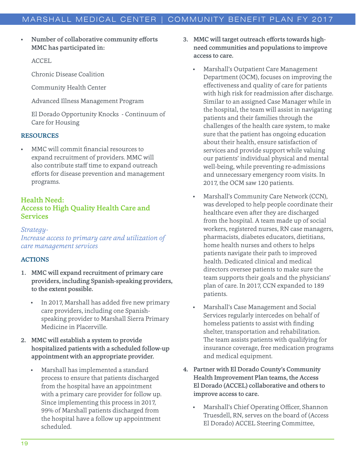• Number of collaborative community efforts MMC has participated in:

ACCEL

Chronic Disease Coalition

Community Health Center

Advanced Illness Management Program

El Dorado Opportunity Knocks - Continuum of Care for Housing

#### RESOURCES

• MMC will commit financial resources to expand recruitment of providers. MMC will also contribute staff time to expand outreach efforts for disease prevention and management programs.

## Health Need: Access to High Quality Health Care and Services

#### *Strategy-Increase access to primary care and utilization of care management services*

#### ACTIONS

- 1. MMC will expand recruitment of primary care providers, including Spanish-speaking providers, to the extent possible.
	- In 2017, Marshall has added five new primary care providers, including one Spanishspeaking provider to Marshall Sierra Primary Medicine in Placerville.
- 2. MMC will establish a system to provide hospitalized patients with a scheduled follow-up appointment with an appropriate provider.
	- Marshall has implemented a standard process to ensure that patients discharged from the hospital have an appointment with a primary care provider for follow up. Since implementing this process in 2017, 99% of Marshall patients discharged from the hospital have a follow up appointment scheduled.
- 3. MMC will target outreach efforts towards highneed communities and populations to improve access to care.
	- Marshall's Outpatient Care Management Department (OCM), focuses on improving the effectiveness and quality of care for patients with high risk for readmission after discharge. Similar to an assigned Case Manager while in the hospital, the team will assist in navigating patients and their families through the challenges of the health care system, to make sure that the patient has ongoing education about their health, ensure satisfaction of services and provide support while valuing our patients' individual physical and mental well-being, while preventing re-admissions and unnecessary emergency room visits. In 2017, the OCM saw 120 patients.
	- Marshall's Community Care Network (CCN), was developed to help people coordinate their healthcare even after they are discharged from the hospital. A team made up of social workers, registered nurses, RN case managers, pharmacists, diabetes educators, dietitians, home health nurses and others to helps patients navigate their path to improved health. Dedicated clinical and medical directors oversee patients to make sure the team supports their goals and the physicians' plan of care. In 2017, CCN expanded to 189 patients.
	- Marshall's Case Management and Social Services regularly intercedes on behalf of homeless patients to assist with finding shelter, transportation and rehabilitation. The team assists patients with qualifying for insurance coverage, free medication programs and medical equipment.
- 4. Partner with El Dorado County's Community Health Improvement Plan teams, the Access El Dorado (ACCEL) collaborative and others to improve access to care.
	- Marshall's Chief Operating Officer, Shannon Truesdell, RN, serves on the board of (Access El Dorado) ACCEL Steering Committee,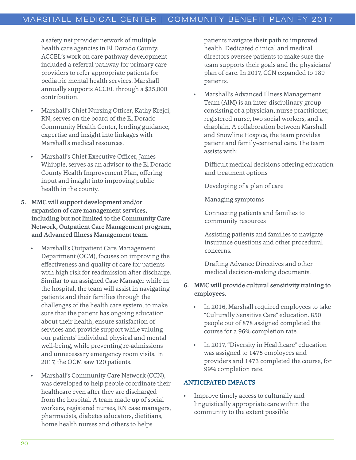a safety net provider network of multiple health care agencies in El Dorado County. ACCEL's work on care pathway development included a referral pathway for primary care providers to refer appropriate patients for pediatric mental health services. Marshall annually supports ACCEL through a \$25,000 contribution.

- Marshall's Chief Nursing Officer, Kathy Krejci, RN, serves on the board of the El Dorado Community Health Center, lending guidance, expertise and insight into linkages with Marshall's medical resources.
- Marshall's Chief Executive Officer, James Whipple, serves as an advisor to the El Dorado County Health Improvement Plan, offering input and insight into improving public health in the county.
- 5. MMC will support development and/or expansion of care management services, including but not limited to the Community Care Network, Outpatient Care Management program, and Advanced Illness Management team.
	- Marshall's Outpatient Care Management Department (OCM), focuses on improving the effectiveness and quality of care for patients with high risk for readmission after discharge. Similar to an assigned Case Manager while in the hospital, the team will assist in navigating patients and their families through the challenges of the health care system, to make sure that the patient has ongoing education about their health, ensure satisfaction of services and provide support while valuing our patients' individual physical and mental well-being, while preventing re-admissions and unnecessary emergency room visits. In 2017, the OCM saw 120 patients.
	- Marshall's Community Care Network (CCN), was developed to help people coordinate their healthcare even after they are discharged from the hospital. A team made up of social workers, registered nurses, RN case managers, pharmacists, diabetes educators, dietitians, home health nurses and others to helps

patients navigate their path to improved health. Dedicated clinical and medical directors oversee patients to make sure the team supports their goals and the physicians' plan of care. In 2017, CCN expanded to 189 patients.

• Marshall's Advanced Illness Management Team (AIM) is an inter-disciplinary group consisting of a physician, nurse practitioner, registered nurse, two social workers, and a chaplain. A collaboration between Marshall and Snowline Hospice, the team provides patient and family-centered care. The team assists with:

Difficult medical decisions offering education and treatment options

Developing of a plan of care

Managing symptoms

Connecting patients and families to community resources

Assisting patients and families to navigate insurance questions and other procedural concerns.

Drafting Advance Directives and other medical decision-making documents.

## 6. MMC will provide cultural sensitivity training to employees.

- In 2016, Marshall required employees to take "Culturally Sensitive Care" education. 850 people out of 878 assigned completed the course for a 96% completion rate.
- In 2017, "Diversity in Healthcare" education was assigned to 1475 employees and providers and 1473 completed the course, for 99% completion rate.

#### ANTICIPATED IMPACTS

• Improve timely access to culturally and linguistically appropriate care within the community to the extent possible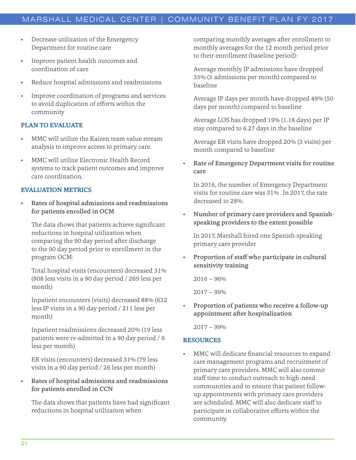## MARSHALL MEDICAL CENTER | COMMUNITY BENEFIT PLAN FY 2017

- Decrease utilization of the Emergency Department for routine care
- Improve patient health outcomes and coordination of care
- Reduce hospital admissions and readmissions
- Improve coordination of programs and services to avoid duplication of efforts within the community

#### PLAN TO EVALUATE

- MMC will utilize the Kaizen team value stream analysis to improve access to primary care.
- MMC will utilize Electronic Health Record systems to track patient outcomes and improve care coordination.

### EVALUATION METRICS

• Rates of hospital admissions and readmissions for patients enrolled in OCM

The data shows that patients achieve significant reductions in hospital utilization when comparing the 90 day period after discharge to the 90 day period prior to enrollment in the program OCM:

Total hospital visits (encounters) decreased 31% (808 less visits in a 90 day period / 269 less per month)

Inpatient encounters (visits) decreased 88% (632 less IP visits in a 90 day period / 211 less per month)

Inpatient readmissions decreased 20% (19 less patients were re-admitted in a 90 day period / 6 less per month)

ER visits (encounters) decreased 31% (79 less visits in a 90 day period / 26 less per month)

• Rates of hospital admissions and readmissions for patients enrolled in CCN

The data shows that patients have had significant reductions in hospital utilization when

comparing monthly averages after enrollment to monthly averages for the 12 month period prior to their enrollment (baseline period):

Average monthly IP admissions have dropped 35% (5 admissions per month) compared to baseline

Average IP days per month have dropped 49% (50 days per month) compared to baseline

Average LOS has dropped 19% (1.18 days) per IP stay compared to 6.27 days in the baseline

Average ER visits have dropped 20% (3 visits) per month compared to baseline

Rate of Emergency Department visits for routine care

In 2016, the number of Emergency Department visits for routine care was 31% . In 2017, the rate decreased to 28%.

• Number of primary care providers and Spanishspeaking providers to the extent possible

In 2017, Marshall hired one Spanish-speaking primary care provider

• Proportion of staff who participate in cultural sensitivity training

 $2016 - 96\%$ 

2017 – 99%

• Proportion of patients who receive a follow-up appointment after hospitalization

2017 – 99%

#### RESOURCES

MMC will dedicate financial resources to expand care management programs and recruitment of primary care providers. MMC will also commit staff time to conduct outreach to high-need communities and to ensure that patient followup appointments with primary care providers are scheduled. MMC will also dedicate staff to participate in collaborative efforts within the community.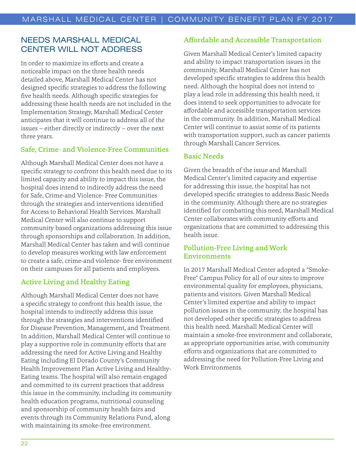## NEEDS MARSHALL MEDICAL CENTER WILL NOT ADDRESS

In order to maximize its efforts and create a noticeable impact on the three health needs detailed above, Marshall Medical Center has not designed specific strategies to address the following five health needs. Although specific strategies for addressing these health needs are not included in the Implementation Strategy, Marshall Medical Center anticipates that it will continue to address all of the issues – either directly or indirectly – over the next three years.

## Safe, Crime- and Violence-Free Communities

Although Marshall Medical Center does not have a specific strategy to confront this health need due to its limited capacity and ability to impact this issue, the hospital does intend to indirectly address the need for Safe, Crime-and Violence- Free Communities through the strategies and interventions identified for Access to Behavioral Health Services. Marshall Medical Center will also continue to support community based organizations addressing this issue through sponsorships and collaboration. In addition, Marshall Medical Center has taken and will continue to develop measures working with law enforcement to create a safe, crime-and violence- free environment on their campuses for all patients and employees.

## Active Living and Healthy Eating

Although Marshall Medical Center does not have a specific strategy to confront this health issue, the hospital intends to indirectly address this issue through the strategies and interventions identified for Disease Prevention, Management, and Treatment. In addition, Marshall Medical Center will continue to play a supportive role in community efforts that are addressing the need for Active Living and Healthy Eating including El Dorado County's Community Health Improvement Plan Active Living and Healthy-Eating teams. The hospital will also remain engaged and committed to its current practices that address this issue in the community, including its community health education programs, nutritional counseling and sponsorship of community health fairs and events through its Community Relations Fund, along with maintaining its smoke-free environment.

## Affordable and Accessible Transportation

Given Marshall Medical Center's limited capacity and ability to impact transportation issues in the community, Marshall Medical Center has not developed specific strategies to address this health need. Although the hospital does not intend to play a lead role in addressing this health need, it does intend to seek opportunities to advocate for affordable and accessible transportation services in the community. In addition, Marshall Medical Center will continue to assist some of its patients with transportation support, such as cancer patients through Marshall Cancer Services.

## Basic Needs

Given the breadth of the issue and Marshall Medical Center's limited capacity and expertise for addressing this issue, the hospital has not developed specific strategies to address Basic Needs in the community. Although there are no strategies identified for combatting this need, Marshall Medical Center collaborates with community efforts and organizations that are committed to addressing this health issue.

## Pollution-Free Living and Work Environments

In 2017 Marshall Medical Center adopted a "Smoke-Free" Campus Policy for all of our sites to improve environmental quality for employees, physicians, patients and visitors. Given Marshall Medical Center's limited expertise and ability to impact pollution issues in the community, the hospital has not developed other specific strategies to address this health need. Marshall Medical Center will maintain a smoke-free environment and collaborate, as appropriate opportunities arise, with community efforts and organizations that are committed to addressing the need for Pollution-Free Living and Work Environments.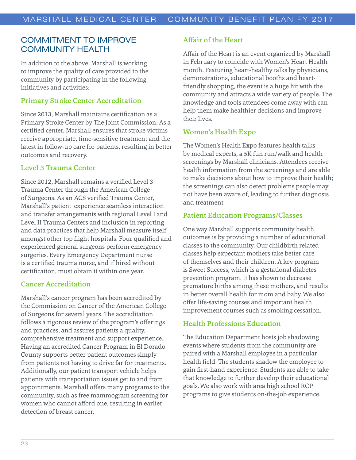## COMMITMENT TO IMPROVE COMMUNITY HEALTH

In addition to the above, Marshall is working to improve the quality of care provided to the community by participating in the following initiatives and activities:

## Primary Stroke Center Accreditation

Since 2013, Marshall maintains certification as a Primary Stroke Center by The Joint Commission. As a certified center, Marshall ensures that stroke victims receive appropriate, time-sensitive treatment and the latest in follow-up care for patients, resulting in better outcomes and recovery.

#### Level 3 Trauma Center

Since 2012, Marshall remains a verified Level 3 Trauma Center through the American College of Surgeons. As an ACS verified Trauma Center, Marshall's patient experience seamless interaction and transfer arrangements with regional Level I and Level II Trauma Centers and inclusion in reporting and data practices that help Marshall measure itself amongst other top flight hospitals. Four qualified and experienced general surgeons perform emergency surgeries. Every Emergency Department nurse is a certified trauma nurse, and if hired without certification, must obtain it within one year.

#### Cancer Accreditation

Marshall's cancer program has been accredited by the Commission on Cancer of the American College of Surgeons for several years. The accreditation follows a rigorous review of the program's offerings and practices, and assures patients a quality, comprehensive treatment and support experience. Having an accredited Cancer Program in El Dorado County supports better patient outcomes simply from patients not having to drive far for treatments. Additionally, our patient transport vehicle helps patients with transportation issues get to and from appointments. Marshall offers many programs to the community, such as free mammogram screening for women who cannot afford one, resulting in earlier detection of breast cancer.

## Affair of the Heart

Affair of the Heart is an event organized by Marshall in February to coincide with Women's Heart Health month. Featuring heart-healthy talks by physicians, demonstrations, educational booths and heartfriendly shopping, the event is a huge hit with the community and attracts a wide variety of people. The knowledge and tools attendees come away with can help them make healthier decisions and improve their lives.

#### Women's Health Expo

The Women's Health Expo features health talks by medical experts, a 5K fun run/walk and health screenings by Marshall clinicians. Attendees receive health information from the screenings and are able to make decisions about how to improve their health; the screenings can also detect problems people may not have been aware of, leading to further diagnosis and treatment.

#### Patient Education Programs/Classes

One way Marshall supports community health outcomes is by providing a number of educational classes to the community. Our childbirth related classes help expectant mothers take better care of themselves and their children. A key program is Sweet Success, which is a gestational diabetes prevention program. It has shown to decrease premature births among these mothers, and results in better overall health for mom and baby. We also offer life-saving courses and important health improvement courses such as smoking cessation.

## Health Professions Education

The Education Department hosts job shadowing events where students from the community are paired with a Marshall employee in a particular health field. The students shadow the employee to gain first-hand experience. Students are able to take that knowledge to further develop their educational goals. We also work with area high school ROP programs to give students on-the-job experience.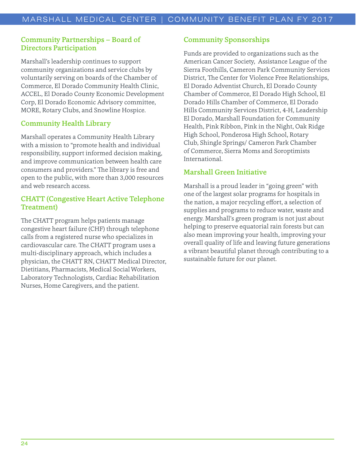## Community Partnerships – Board of Directors Participation

Marshall's leadership continues to support community organizations and service clubs by voluntarily serving on boards of the Chamber of Commerce, El Dorado Community Health Clinic, ACCEL, El Dorado County Economic Development Corp, El Dorado Economic Advisory committee, MORE, Rotary Clubs, and Snowline Hospice.

## Community Health Library

Marshall operates a Community Health Library with a mission to "promote health and individual responsibility, support informed decision making, and improve communication between health care consumers and providers." The library is free and open to the public, with more than 3,000 resources and web research access.

## CHATT (Congestive Heart Active Telephone Treatment)

The CHATT program helps patients manage congestive heart failure (CHF) through telephone calls from a registered nurse who specializes in cardiovascular care. The CHATT program uses a multi-disciplinary approach, which includes a physician, the CHATT RN, CHATT Medical Director, Dietitians, Pharmacists, Medical Social Workers, Laboratory Technologists, Cardiac Rehabilitation Nurses, Home Caregivers, and the patient.

## Community Sponsorships

Funds are provided to organizations such as the American Cancer Society, Assistance League of the Sierra Foothills, Cameron Park Community Services District, The Center for Violence Free Relationships, El Dorado Adventist Church, El Dorado County Chamber of Commerce, El Dorado High School, El Dorado Hills Chamber of Commerce, El Dorado Hills Community Services District, 4-H, Leadership El Dorado, Marshall Foundation for Community Health, Pink Ribbon, Pink in the Night, Oak Ridge High School, Ponderosa High School, Rotary Club, Shingle Springs/ Cameron Park Chamber of Commerce, Sierra Moms and Soroptimists International.

## Marshall Green Initiative

Marshall is a proud leader in "going green" with one of the largest solar programs for hospitals in the nation, a major recycling effort, a selection of supplies and programs to reduce water, waste and energy. Marshall's green program is not just about helping to preserve equatorial rain forests but can also mean improving your health, improving your overall quality of life and leaving future generations a vibrant beautiful planet through contributing to a sustainable future for our planet.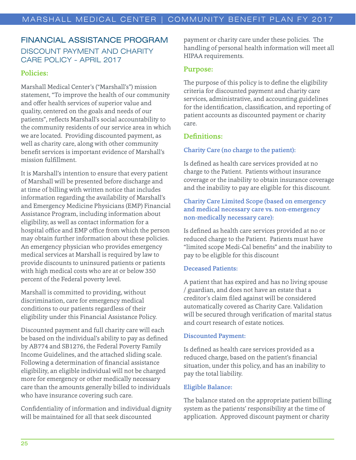## FINANCIAL ASSISTANCE PROGRAM DISCOUNT PAYMENT AND CHARITY CARE POLICY - APRIL 2017

## Policies:

Marshall Medical Center's ("Marshall's") mission statement, "To improve the health of our community and offer health services of superior value and quality, centered on the goals and needs of our patients", reflects Marshall's social accountability to the community residents of our service area in which we are located. Providing discounted payment, as well as charity care, along with other community benefit services is important evidence of Marshall's mission fulfillment.

It is Marshall's intention to ensure that every patient of Marshall will be presented before discharge and at time of billing with written notice that includes information regarding the availability of Marshall's and Emergency Medicine Physicians (EMP) Financial Assistance Program, including information about eligibility, as well as contact information for a hospital office and EMP office from which the person may obtain further information about these policies. An emergency physician who provides emergency medical services at Marshall is required by law to provide discounts to uninsured patients or patients with high medical costs who are at or below 350 percent of the Federal poverty level.

Marshall is committed to providing, without discrimination, care for emergency medical conditions to our patients regardless of their eligibility under this Financial Assistance Policy.

Discounted payment and full charity care will each be based on the individual's ability to pay as defined by AB774 and SB1276, the Federal Poverty Family Income Guidelines, and the attached sliding scale. Following a determination of financial assistance eligibility, an eligible individual will not be charged more for emergency or other medically necessary care than the amounts generally billed to individuals who have insurance covering such care.

Confidentiality of information and individual dignity will be maintained for all that seek discounted

payment or charity care under these policies. The handling of personal health information will meet all HIPAA requirements.

### Purpose:

The purpose of this policy is to define the eligibility criteria for discounted payment and charity care services, administrative, and accounting guidelines for the identification, classification, and reporting of patient accounts as discounted payment or charity care.

## Definitions:

## Charity Care (no charge to the patient):

Is defined as health care services provided at no charge to the Patient. Patients without insurance coverage or the inability to obtain insurance coverage and the inability to pay are eligible for this discount.

## Charity Care Limited Scope (based on emergency and medical necessary care vs. non-emergency non-medically necessary care):

Is defined as health care services provided at no or reduced charge to the Patient. Patients must have "limited scope Medi-Cal benefits" and the inability to pay to be eligible for this discount

#### Deceased Patients:

A patient that has expired and has no living spouse / guardian, and does not have an estate that a creditor's claim filed against will be considered automatically covered as Charity Care. Validation will be secured through verification of marital status and court research of estate notices.

#### Discounted Payment:

Is defined as health care services provided as a reduced charge, based on the patient's financial situation, under this policy, and has an inability to pay the total liability.

#### Eligible Balance:

The balance stated on the appropriate patient billing system as the patients' responsibility at the time of application. Approved discount payment or charity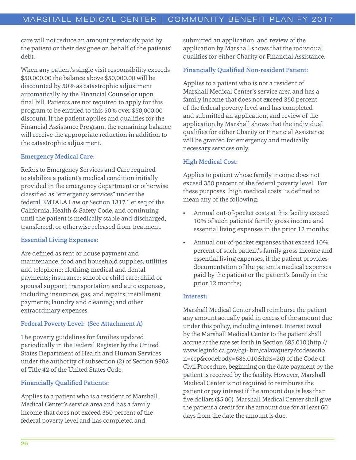care will not reduce an amount previously paid by the patient or their designee on behalf of the patients' debt.

When any patient's single visit responsibility exceeds \$50,000.00 the balance above \$50,000.00 will be discounted by 50% as catastrophic adjustment automatically by the Financial Counselor upon final bill. Patients are not required to apply for this program to be entitled to this 50% over \$50,000.00 discount. If the patient applies and qualifies for the Financial Assistance Program, the remaining balance will receive the appropriate reduction in addition to the catastrophic adjustment.

#### Emergency Medical Care:

Refers to Emergency Services and Care required to stabilize a patient's medical condition initially provided in the emergency department or otherwise classified as "emergency services" under the federal EMTALA Law or Section 1317.1 et.seq of the California, Health & Safety Code, and continuing until the patient is medically stable and discharged, transferred, or otherwise released from treatment.

#### Essential Living Expenses:

Are defined as rent or house payment and maintenance; food and household supplies; utilities and telephone; clothing; medical and dental payments; insurance; school or child care; child or spousal support; transportation and auto expenses, including insurance, gas, and repairs; installment payments; laundry and cleaning; and other extraordinary expenses.

#### Federal Poverty Level: (See Attachment A)

The poverty guidelines for families updated periodically in the Federal Register by the United States Department of Health and Human Services under the authority of subsection (2) of Section 9902 of Title 42 of the United States Code.

#### Financially Qualified Patients:

Applies to a patient who is a resident of Marshall Medical Center's service area and has a family income that does not exceed 350 percent of the federal poverty level and has completed and

submitted an application, and review of the application by Marshall shows that the individual qualifies for either Charity or Financial Assistance.

## Financially Qualified Non-resident Patient:

Applies to a patient who is not a resident of Marshall Medical Center's service area and has a family income that does not exceed 350 percent of the federal poverty level and has completed and submitted an application, and review of the application by Marshall shows that the individual qualifies for either Charity or Financial Assistance will be granted for emergency and medically necessary services only.

#### High Medical Cost:

Applies to patient whose family income does not exceed 350 percent of the federal poverty level. For these purposes "high medical costs" is defined to mean any of the following:

- Annual out-of-pocket costs at this facility exceed 10% of such patients' family gross income and essential living expenses in the prior 12 months;
- Annual out-of-pocket expenses that exceed 10% percent of such patient's family gross income and essential living expenses, if the patient provides documentation of the patient's medical expenses paid by the patient or the patient's family in the prior 12 months;

#### Interest:

Marshall Medical Center shall reimburse the patient any amount actually paid in excess of the amount due under this policy, including interest. Interest owed by the Marshall Medical Center to the patient shall accrue at the rate set forth in Section 685.010 (http:// www.leginfo.ca.gov/cgi- bin/calawquery?codesectio n=ccp&codebody=685.010&hits=20) of the Code of Civil Procedure, beginning on the date payment by the patient is received by the facility. However, Marshall Medical Center is not required to reimburse the patient or pay interest if the amount due is less than five dollars (\$5.00). Marshall Medical Center shall give the patient a credit for the amount due for at least 60 days from the date the amount is due.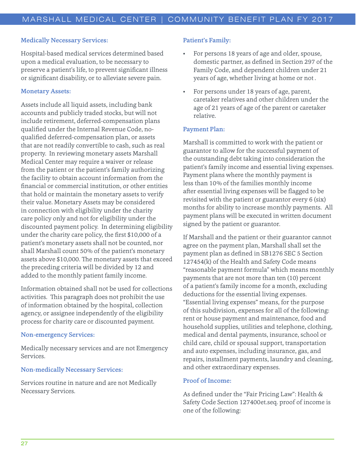#### Medically Necessary Services:

Hospital-based medical services determined based upon a medical evaluation, to be necessary to preserve a patient's life, to prevent significant illness or significant disability, or to alleviate severe pain.

#### Monetary Assets:

Assets include all liquid assets, including bank accounts and publicly traded stocks, but will not include retirement, deferred-compensation plans qualified under the Internal Revenue Code, noqualified deferred-compensation plan, or assets that are not readily convertible to cash, such as real property. In reviewing monetary assets Marshall Medical Center may require a waiver or release from the patient or the patient's family authorizing the facility to obtain account information from the financial or commercial institution, or other entities that hold or maintain the monetary assets to verify their value. Monetary Assets may be considered in connection with eligibility under the charity care policy only and not for eligibility under the discounted payment policy. In determining eligibility under the charity care policy, the first \$10,000 of a patient's monetary assets shall not be counted, nor shall Marshall count 50% of the patient's monetary assets above \$10,000. The monetary assets that exceed the preceding criteria will be divided by 12 and added to the monthly patient family income.

Information obtained shall not be used for collections activities. This paragraph does not prohibit the use of information obtained by the hospital, collection agency, or assignee independently of the eligibility process for charity care or discounted payment.

#### Non-emergency Services:

Medically necessary services and are not Emergency Services.

#### Non-medically Necessary Services:

Services routine in nature and are not Medically Necessary Services.

#### Patient's Family:

- For persons 18 years of age and older, spouse, domestic partner, as defined in Section 297 of the Family Code, and dependent children under 21 years of age, whether living at home or not .
- For persons under 18 years of age, parent, caretaker relatives and other children under the age of 21 years of age of the parent or caretaker relative.

#### Payment Plan:

Marshall is committed to work with the patient or guarantor to allow for the successful payment of the outstanding debt taking into consideration the patient's family income and essential living expenses. Payment plans where the monthly payment is less than 10% of the families monthly income after essential living expenses will be flagged to be revisited with the patient or guarantor every 6 (six) months for ability to increase monthly payments. All payment plans will be executed in written document signed by the patient or guarantor.

If Marshall and the patient or their guarantor cannot agree on the payment plan, Marshall shall set the payment plan as defined in SB1276 SEC 5 Section 127454(k) of the Health and Safety Code means "reasonable payment formula" which means monthly payments that are not more than ten (10) percent of a patient's family income for a month, excluding deductions for the essential living expenses. "Essential living expenses" means, for the purpose of this subdivision, expenses for all of the following: rent or house payment and maintenance, food and household supplies, utilities and telephone, clothing, medical and dental payments, insurance, school or child care, child or spousal support, transportation and auto expenses, including insurance, gas, and repairs, installment payments, laundry and cleaning, and other extraordinary expenses.

#### Proof of Income:

As defined under the "Fair Pricing Law": Health & Safety Code Section 127400et.seq. proof of income is one of the following: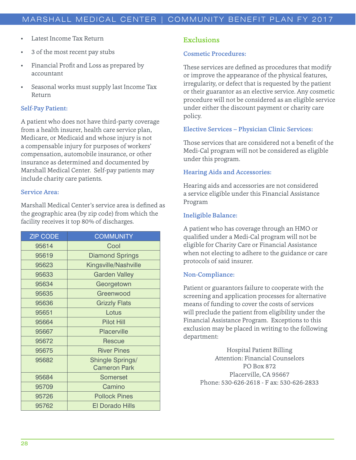- Latest Income Tax Return
- 3 of the most recent pay stubs
- Financial Profit and Loss as prepared by accountant
- Seasonal works must supply last Income Tax Return

#### Self-Pay Patient:

A patient who does not have third-party coverage from a health insurer, health care service plan, Medicare, or Medicaid and whose injury is not a compensable injury for purposes of workers' compensation, automobile insurance, or other insurance as determined and documented by Marshall Medical Center. Self-pay patients may include charity care patients.

#### Service Area:

Marshall Medical Center's service area is defined as the geographic area (by zip code) from which the facility receives it top 80% of discharges.

| <b>ZIP CODE</b> | <b>COMMUNITY</b>                        |
|-----------------|-----------------------------------------|
| 95614           | Cool                                    |
| 95619           | <b>Diamond Springs</b>                  |
| 95623           | Kingsville/Nashville                    |
| 95633           | <b>Garden Valley</b>                    |
| 95634           | Georgetown                              |
| 95635           | Greenwood                               |
| 95636           | <b>Grizzly Flats</b>                    |
| 95651           | Lotus                                   |
| 95664           | <b>Pilot Hill</b>                       |
| 95667           | <b>Placerville</b>                      |
| 95672           | Rescue                                  |
| 95675           | <b>River Pines</b>                      |
| 95682           | Shingle Springs/<br><b>Cameron Park</b> |
| 95684           | <b>Somerset</b>                         |
| 95709           | Camino                                  |
| 95726           | <b>Pollock Pines</b>                    |
| 95762           | <b>El Dorado Hills</b>                  |

#### Exclusions

#### Cosmetic Procedures:

These services are defined as procedures that modify or improve the appearance of the physical features, irregularity, or defect that is requested by the patient or their guarantor as an elective service. Any cosmetic procedure will not be considered as an eligible service under either the discount payment or charity care policy.

#### Elective Services – Physician Clinic Services:

Those services that are considered not a benefit of the Medi-Cal program will not be considered as eligible under this program.

#### Hearing Aids and Accessories:

Hearing aids and accessories are not considered a service eligible under this Financial Assistance Program

#### Ineligible Balance:

A patient who has coverage through an HMO or qualified under a Medi-Cal program will not be eligible for Charity Care or Financial Assistance when not electing to adhere to the guidance or care protocols of said insurer.

#### Non-Compliance:

Patient or guarantors failure to cooperate with the screening and application processes for alternative means of funding to cover the costs of services will preclude the patient from eligibility under the Financial Assistance Program. Exceptions to this exclusion may be placed in writing to the following department:

> Hospital Patient Billing Attention: Financial Counselors PO Box 872 Placerville, CA 95667 Phone: 530-626-2618 - F ax: 530-626-2833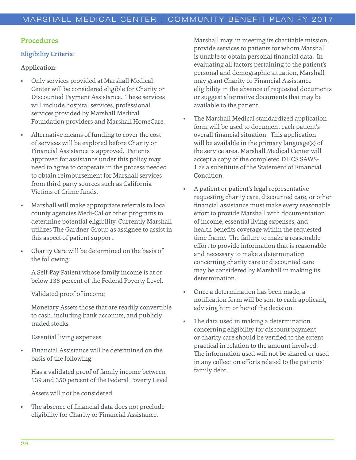#### Procedures

#### Eligibility Criteria:

#### Application:

- Only services provided at Marshall Medical Center will be considered eligible for Charity or Discounted Payment Assistance. These services will include hospital services, professional services provided by Marshall Medical Foundation providers and Marshall HomeCare.
- Alternative means of funding to cover the cost of services will be explored before Charity or Financial Assistance is approved. Patients approved for assistance under this policy may need to agree to cooperate in the process needed to obtain reimbursement for Marshall services from third party sources such as California Victims of Crime funds.
- Marshall will make appropriate referrals to local county agencies Medi-Cal or other programs to determine potential eligibility. Currently Marshall utilizes The Gardner Group as assignee to assist in this aspect of patient support.
- Charity Care will be determined on the basis of the following:

A Self-Pay Patient whose family income is at or below 138 percent of the Federal Poverty Level.

Validated proof of income

Monetary Assets those that are readily convertible to cash, including bank accounts, and publicly traded stocks.

#### Essential living expenses

• Financial Assistance will be determined on the basis of the following:

Has a validated proof of family income between 139 and 350 percent of the Federal Poverty Level

Assets will not be considered

The absence of financial data does not preclude eligibility for Charity or Financial Assistance.

Marshall may, in meeting its charitable mission, provide services to patients for whom Marshall is unable to obtain personal financial data. In evaluating all factors pertaining to the patient's personal and demographic situation, Marshall may grant Charity or Financial Assistance eligibility in the absence of requested documents or suggest alternative documents that may be available to the patient.

- The Marshall Medical standardized application form will be used to document each patient's overall financial situation. This application will be available in the primary language(s) of the service area. Marshall Medical Center will accept a copy of the completed DHCS SAWS-1 as a substitute of the Statement of Financial Condition.
- A patient or patient's legal representative requesting charity care, discounted care, or other financial assistance must make every reasonable effort to provide Marshall with documentation of income, essential living expenses, and health benefits coverage within the requested time frame. The failure to make a reasonable effort to provide information that is reasonable and necessary to make a determination concerning charity care or discounted care may be considered by Marshall in making its determination.
- Once a determination has been made, a notification form will be sent to each applicant, advising him or her of the decision.
- The data used in making a determination concerning eligibility for discount payment or charity care should be verified to the extent practical in relation to the amount involved. The information used will not be shared or used in any collection efforts related to the patients' family debt.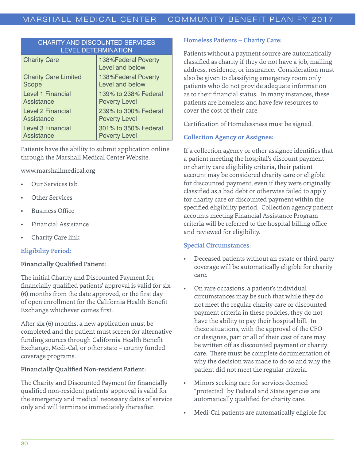| <b>CHARITY AND DISCOUNTED SERVICES</b><br><b>LEVEL DETERMINATION</b> |                                        |  |  |
|----------------------------------------------------------------------|----------------------------------------|--|--|
| <b>Charity Care</b>                                                  | 138%Federal Poverty<br>Level and below |  |  |
| <b>Charity Care Limited</b>                                          | 138%Federal Poverty                    |  |  |
| Scope                                                                | Level and below                        |  |  |
| <b>Level 1 Financial</b>                                             | 139% to 238% Federal                   |  |  |
| <b>Assistance</b>                                                    | <b>Poverty Level</b>                   |  |  |
| <b>Level 2 Financial</b>                                             | 239% to 300% Federal                   |  |  |
| Assistance                                                           | <b>Poverty Level</b>                   |  |  |
| <b>Level 3 Financial</b>                                             | 301% to 350% Federal                   |  |  |
| Assistance                                                           | <b>Poverty Level</b>                   |  |  |

Patients have the ability to submit application online through the Marshall Medical Center Website.

www.marshallmedical.org

- Our Services tab
- **Other Services**
- Business Office
- Financial Assistance
- Charity Care link

## Eligibility Period:

#### Financially Qualified Patient:

The initial Charity and Discounted Payment for financially qualified patients' approval is valid for six (6) months from the date approved, or the first day of open enrollment for the California Health Benefit Exchange whichever comes first.

After six (6) months, a new application must be completed and the patient must screen for alternative funding sources through California Health Benefit Exchange, Medi-Cal, or other state – county funded coverage programs.

#### Financially Qualified Non-resident Patient:

The Charity and Discounted Payment for financially qualified non-resident patients' approval is valid for the emergency and medical necessary dates of service only and will terminate immediately thereafter.

## Homeless Patients – Charity Care:

Patients without a payment source are automatically classified as charity if they do not have a job, mailing address, residence, or insurance. Consideration must also be given to classifying emergency room only patients who do not provide adequate information as to their financial status. In many instances, these patients are homeless and have few resources to cover the cost of their care.

Certification of Homelessness must be signed.

## Collection Agency or Assignee:

If a collection agency or other assignee identifies that a patient meeting the hospital's discount payment or charity care eligibility criteria, their patient account may be considered charity care or eligible for discounted payment, even if they were originally classified as a bad debt or otherwise failed to apply for charity care or discounted payment within the specified eligibility period. Collection agency patient accounts meeting Financial Assistance Program criteria will be referred to the hospital billing office and reviewed for eligibility.

#### Special Circumstances:

- Deceased patients without an estate or third party coverage will be automatically eligible for charity care.
- On rare occasions, a patient's individual circumstances may be such that while they do not meet the regular charity care or discounted payment criteria in these policies, they do not have the ability to pay their hospital bill. In these situations, with the approval of the CFO or designee, part or all of their cost of care may be written off as discounted payment or charity care. There must be complete documentation of why the decision was made to do so and why the patient did not meet the regular criteria.
- Minors seeking care for services deemed "protected" by Federal and State agencies are automatically qualified for charity care.
- Medi-Cal patients are automatically eligible for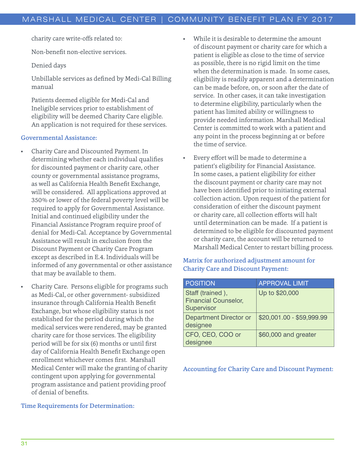charity care write-offs related to:

Non-benefit non-elective services.

Denied days

Unbillable services as defined by Medi-Cal Billing manual

Patients deemed eligible for Medi-Cal and Ineligible services prior to establishment of eligibility will be deemed Charity Care eligible. An application is not required for these services.

#### Governmental Assistance:

- Charity Care and Discounted Payment. In determining whether each individual qualifies for discounted payment or charity care, other county or governmental assistance programs, as well as California Health Benefit Exchange, will be considered. All applications approved at 350% or lower of the federal poverty level will be required to apply for Governmental Assistance. Initial and continued eligibility under the Financial Assistance Program require proof of denial for Medi-Cal. Acceptance by Governmental Assistance will result in exclusion from the Discount Payment or Charity Care Program except as described in E.4. Individuals will be informed of any governmental or other assistance that may be available to them.
- Charity Care. Persons eligible for programs such as Medi-Cal, or other government- subsidized insurance through California Health Benefit Exchange, but whose eligibility status is not established for the period during which the medical services were rendered, may be granted charity care for those services. The eligibility period will be for six (6) months or until first day of California Health Benefit Exchange open enrollment whichever comes first. Marshall Medical Center will make the granting of charity contingent upon applying for governmental program assistance and patient providing proof of denial of benefits.

#### Time Requirements for Determination:

- While it is desirable to determine the amount of discount payment or charity care for which a patient is eligible as close to the time of service as possible, there is no rigid limit on the time when the determination is made. In some cases, eligibility is readily apparent and a determination can be made before, on, or soon after the date of service. In other cases, it can take investigation to determine eligibility, particularly when the patient has limited ability or willingness to provide needed information. Marshall Medical Center is committed to work with a patient and any point in the process beginning at or before the time of service.
- Every effort will be made to determine a patient's eligibility for Financial Assistance. In some cases, a patient eligibility for either the discount payment or charity care may not have been identified prior to initiating external collection action. Upon request of the patient for consideration of either the discount payment or charity care, all collection efforts will halt until determination can be made. If a patient is determined to be eligible for discounted payment or charity care, the account will be returned to Marshall Medical Center to restart billing process.

#### Matrix for authorized adjustment amount for Charity Care and Discount Payment:

| <b>POSITION</b>                                               | <b>APPROVAL LIMIT</b>     |
|---------------------------------------------------------------|---------------------------|
| Staff (trained),<br><b>Financial Counselor,</b><br>Supervisor | Up to \$20,000            |
| <b>Department Director or</b><br>designee                     | \$20,001.00 - \$59,999.99 |
| CFO, CEO, COO or<br>designee                                  | \$60,000 and greater      |

#### Accounting for Charity Care and Discount Payment: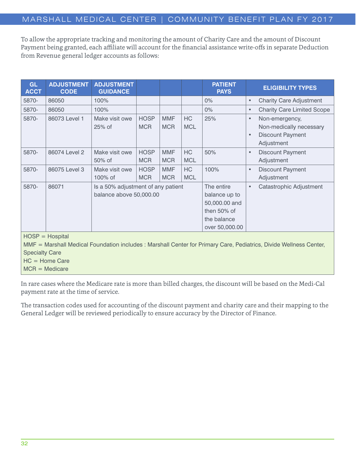To allow the appropriate tracking and monitoring the amount of Charity Care and the amount of Discount Payment being granted, each affiliate will account for the financial assistance write-offs in separate Deduction from Revenue general ledger accounts as follows:

| <b>GL</b><br><b>ACCT</b>                                                                                                                                                             | <b>ADJUSTMENT</b><br><b>CODE</b> | <b>ADJUSTMENT</b><br><b>GUIDANCE</b>                          |                           |                          |                         | <b>PATIENT</b><br><b>PAYS</b>                                                                | <b>ELIGIBILITY TYPES</b>                                                                                     |
|--------------------------------------------------------------------------------------------------------------------------------------------------------------------------------------|----------------------------------|---------------------------------------------------------------|---------------------------|--------------------------|-------------------------|----------------------------------------------------------------------------------------------|--------------------------------------------------------------------------------------------------------------|
| 5870-                                                                                                                                                                                | 86050                            | 100%                                                          |                           |                          |                         | $0\%$                                                                                        | <b>Charity Care Adjustment</b><br>$\bullet$                                                                  |
| 5870-                                                                                                                                                                                | 86050                            | 100%                                                          |                           |                          |                         | 0%                                                                                           | <b>Charity Care Limited Scope</b><br>$\bullet$                                                               |
| 5870-                                                                                                                                                                                | 86073 Level 1                    | Make visit owe<br>25% of                                      | <b>HOSP</b><br><b>MCR</b> | <b>MMF</b><br><b>MCR</b> | <b>HC</b><br><b>MCL</b> | 25%                                                                                          | Non-emergency,<br>$\bullet$<br>Non-medically necessary<br><b>Discount Payment</b><br>$\bullet$<br>Adjustment |
| 5870-                                                                                                                                                                                | 86074 Level 2                    | Make visit owe<br>50% of                                      | <b>HOSP</b><br><b>MCR</b> | <b>MMF</b><br><b>MCR</b> | <b>HC</b><br><b>MCL</b> | 50%                                                                                          | Discount Payment<br>$\bullet$<br>Adjustment                                                                  |
| 5870-                                                                                                                                                                                | 86075 Level 3                    | Make visit owe<br>100% of                                     | <b>HOSP</b><br><b>MCR</b> | <b>MMF</b><br><b>MCR</b> | <b>HC</b><br><b>MCL</b> | 100%                                                                                         | Discount Payment<br>$\bullet$<br>Adjustment                                                                  |
| 5870-                                                                                                                                                                                | 86071                            | Is a 50% adjustment of any patient<br>balance above 50,000.00 |                           |                          |                         | The entire<br>balance up to<br>50,000.00 and<br>then 50% of<br>the balance<br>over 50,000.00 | Catastrophic Adjustment<br>$\bullet$                                                                         |
| $HOSP = Hospital$<br>MMF = Marshall Medical Foundation includes : Marshall Center for Primary Care, Pediatrics, Divide Wellness Center,<br><b>Specialty Care</b><br>$HC =$ Home Care |                                  |                                                               |                           |                          |                         |                                                                                              |                                                                                                              |

MCR = Medicare

In rare cases where the Medicare rate is more than billed charges, the discount will be based on the Medi-Cal payment rate at the time of service.

The transaction codes used for accounting of the discount payment and charity care and their mapping to the General Ledger will be reviewed periodically to ensure accuracy by the Director of Finance.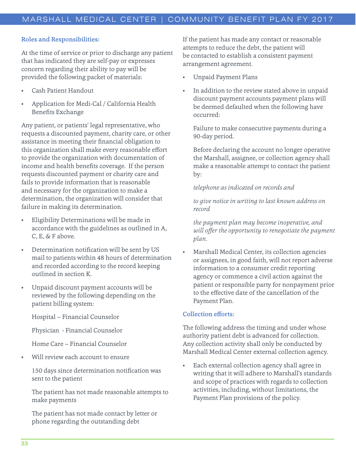#### Roles and Responsibilities:

At the time of service or prior to discharge any patient that has indicated they are self-pay or expresses concern regarding their ability to pay will be provided the following packet of materials:

- Cash Patient Handout
- Application for Medi-Cal / California Health Benefits Exchange

Any patient, or patients' legal representative, who requests a discounted payment, charity care, or other assistance in meeting their financial obligation to this organization shall make every reasonable effort to provide the organization with documentation of income and health benefits coverage. If the person requests discounted payment or charity care and fails to provide information that is reasonable and necessary for the organization to make a determination, the organization will consider that failure in making its determination.

- Eligibility Determinations will be made in accordance with the guidelines as outlined in A, C, E, & F above.
- Determination notification will be sent by US mail to patients within 48 hours of determination and recorded according to the record keeping outlined in section K.
- Unpaid discount payment accounts will be reviewed by the following depending on the patient billing system:

Hospital – Financial Counselor

Physician - Financial Counselor

Home Care – Financial Counselor

Will review each account to ensure

150 days since determination notification was sent to the patient

The patient has not made reasonable attempts to make payments

The patient has not made contact by letter or phone regarding the outstanding debt

If the patient has made any contact or reasonable attempts to reduce the debt, the patient will be contacted to establish a consistent payment arrangement agreement.

- Unpaid Payment Plans
- In addition to the review stated above in unpaid discount payment accounts payment plans will be deemed defaulted when the following have occurred:

Failure to make consecutive payments during a 90-day period.

Before declaring the account no longer operative the Marshall, assignee, or collection agency shall make a reasonable attempt to contact the patient by:

#### *telephone as indicated on records and*

*to give notice in writing to last known address on record*

*the payment plan may become inoperative, and will offer the opportunity to renegotiate the payment plan.*

• Marshall Medical Center, its collection agencies or assignees, in good faith, will not report adverse information to a consumer credit reporting agency or commence a civil action against the patient or responsible party for nonpayment prior to the effective date of the cancellation of the Payment Plan.

#### Collection efforts:

The following address the timing and under whose authority patient debt is advanced for collection. Any collection activity shall only be conducted by Marshall Medical Center external collection agency.

Each external collection agency shall agree in writing that it will adhere to Marshall's standards and scope of practices with regards to collection activities, including, without limitations, the Payment Plan provisions of the policy.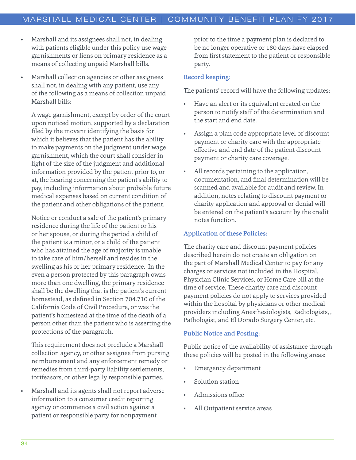- Marshall and its assignees shall not, in dealing with patients eligible under this policy use wage garnishments or liens on primary residence as a means of collecting unpaid Marshall bills.
- Marshall collection agencies or other assignees shall not, in dealing with any patient, use any of the following as a means of collection unpaid Marshall bills:

A wage garnishment, except by order of the court upon noticed motion, supported by a declaration filed by the movant identifying the basis for which it believes that the patient has the ability to make payments on the judgment under wage garnishment, which the court shall consider in light of the size of the judgment and additional information provided by the patient prior to, or at, the hearing concerning the patient's ability to pay, including information about probable future medical expenses based on current condition of the patient and other obligations of the patient.

Notice or conduct a sale of the patient's primary residence during the life of the patient or his or her spouse, or during the period a child of the patient is a minor, or a child of the patient who has attained the age of majority is unable to take care of him/herself and resides in the swelling as his or her primary residence. In the even a person protected by this paragraph owns more than one dwelling, the primary residence shall be the dwelling that is the patient's current homestead, as defined in Section 704.710 of the California Code of Civil Procedure, or was the patient's homestead at the time of the death of a person other than the patient who is asserting the protections of the paragraph.

This requirement does not preclude a Marshall collection agency, or other assignee from pursing reimbursement and any enforcement remedy or remedies from third-party liability settlements, tortfeasors, or other legally responsible parties.

• Marshall and its agents shall not report adverse information to a consumer credit reporting agency or commence a civil action against a patient or responsible party for nonpayment

prior to the time a payment plan is declared to be no longer operative or 180 days have elapsed from first statement to the patient or responsible party.

#### Record keeping:

The patients' record will have the following updates:

- Have an alert or its equivalent created on the person to notify staff of the determination and the start and end date.
- Assign a plan code appropriate level of discount payment or charity care with the appropriate effective and end date of the patient discount payment or charity care coverage.
- All records pertaining to the application, documentation, and final determination will be scanned and available for audit and review. In addition, notes relating to discount payment or charity application and approval or denial will be entered on the patient's account by the credit notes function.

#### Application of these Policies:

The charity care and discount payment policies described herein do not create an obligation on the part of Marshall Medical Center to pay for any charges or services not included in the Hospital, Physician Clinic Services, or Home Care bill at the time of service. These charity care and discount payment policies do not apply to services provided within the hospital by physicians or other medical providers including Anesthesiologists, Radiologists, , Pathologist, and El Dorado Surgery Center, etc.

#### Public Notice and Posting:

Public notice of the availability of assistance through these policies will be posted in the following areas:

- Emergency department
- Solution station
- Admissions office
- All Outpatient service areas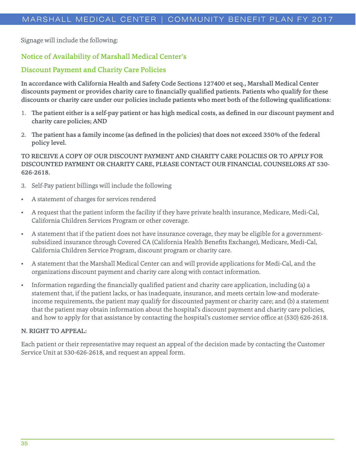Signage will include the following:

## Notice of Availability of Marshall Medical Center's

## Discount Payment and Charity Care Policies

In accordance with California Health and Safety Code Sections 127400 et seq., Marshall Medical Center discounts payment or provides charity care to financially qualified patients. Patients who qualify for these discounts or charity care under our policies include patients who meet both of the following qualifications:

- 1. The patient either is a self-pay patient or has high medical costs, as defined in our discount payment and charity care policies; AND
- 2. The patient has a family income (as defined in the policies) that does not exceed 350% of the federal policy level.

## TO RECEIVE A COPY OF OUR DISCOUNT PAYMENT AND CHARITY CARE POLICIES OR TO APPLY FOR DISCOUNTED PAYMENT OR CHARITY CARE, PLEASE CONTACT OUR FINANCIAL COUNSELORS AT 530- 626-2618.

- 3. Self-Pay patient billings will include the following
- A statement of charges for services rendered
- A request that the patient inform the facility if they have private health insurance, Medicare, Medi-Cal, California Children Services Program or other coverage.
- A statement that if the patient does not have insurance coverage, they may be eligible for a governmentsubsidized insurance through Covered CA (California Health Benefits Exchange), Medicare, Medi-Cal, California Children Service Program, discount program or charity care.
- A statement that the Marshall Medical Center can and will provide applications for Medi-Cal, and the organizations discount payment and charity care along with contact information.
- Information regarding the financially qualified patient and charity care application, including (a) a statement that, if the patient lacks, or has inadequate, insurance, and meets certain low-and moderateincome requirements, the patient may qualify for discounted payment or charity care; and (b) a statement that the patient may obtain information about the hospital's discount payment and charity care policies, and how to apply for that assistance by contacting the hospital's customer service office at (530) 626-2618.

#### N. RIGHT TO APPEAL:

Each patient or their representative may request an appeal of the decision made by contacting the Customer Service Unit at 530-626-2618, and request an appeal form.